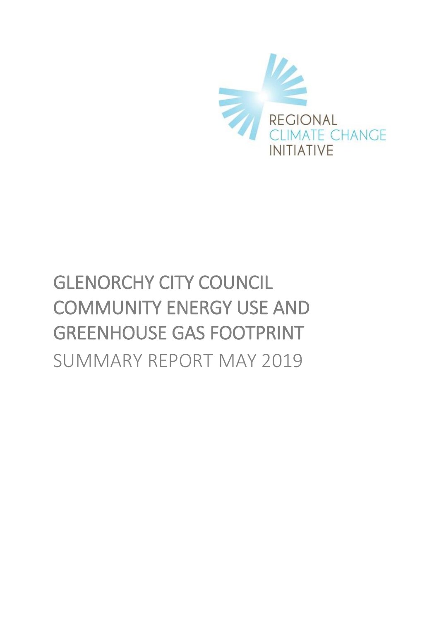

# GLENORCHY CITY COUNCIL COMMUNITY ENERGY USE AND GREENHOUSE GAS FOOTPRINT SUMMARY REPORT MAY 2019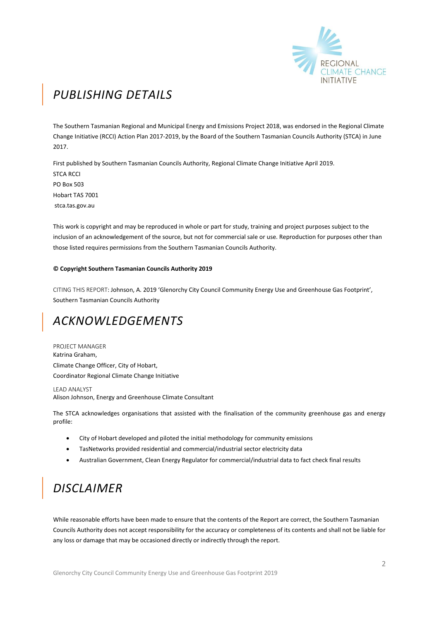

## *PUBLISHING DETAILS*

The Southern Tasmanian Regional and Municipal Energy and Emissions Project 2018, was endorsed in the Regional Climate Change Initiative (RCCI) Action Plan 2017-2019, by the Board of the Southern Tasmanian Councils Authority (STCA) in June 2017.

First published by Southern Tasmanian Councils Authority, Regional Climate Change Initiative April 2019. STCA RCCI PO Box 503 Hobart TAS 7001 stca.tas.gov.au

This work is copyright and may be reproduced in whole or part for study, training and project purposes subject to the inclusion of an acknowledgement of the source, but not for commercial sale or use. Reproduction for purposes other than those listed requires permissions from the Southern Tasmanian Councils Authority.

#### **© Copyright Southern Tasmanian Councils Authority 2019**

CITING THIS REPORT: Johnson, A. 2019 'Glenorchy City Council Community Energy Use and Greenhouse Gas Footprint', Southern Tasmanian Councils Authority

### *ACKNOWLEDGEMENTS*

PROJECT MANAGER Katrina Graham, Climate Change Officer, City of Hobart, Coordinator Regional Climate Change Initiative

LEAD ANALYST Alison Johnson, Energy and Greenhouse Climate Consultant

The STCA acknowledges organisations that assisted with the finalisation of the community greenhouse gas and energy profile:

- City of Hobart developed and piloted the initial methodology for community emissions
- TasNetworks provided residential and commercial/industrial sector electricity data
- Australian Government, Clean Energy Regulator for commercial/industrial data to fact check final results

### *DISCLAIMER*

While reasonable efforts have been made to ensure that the contents of the Report are correct, the Southern Tasmanian Councils Authority does not accept responsibility for the accuracy or completeness of its contents and shall not be liable for any loss or damage that may be occasioned directly or indirectly through the report.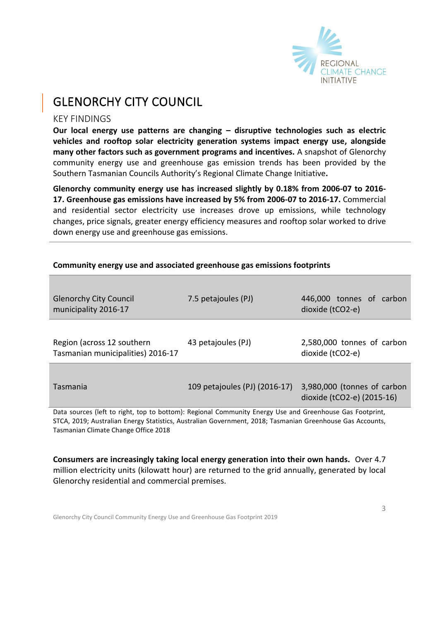

### GLENORCHY CITY COUNCIL

### KEY FINDINGS

**Our local energy use patterns are changing – disruptive technologies such as electric vehicles and rooftop solar electricity generation systems impact energy use, alongside many other factors such as government programs and incentives.** A snapshot of Glenorchy community energy use and greenhouse gas emission trends has been provided by the Southern Tasmanian Councils Authority's Regional Climate Change Initiative**.** 

**Glenorchy community energy use has increased slightly by 0.18% from 2006-07 to 2016- 17. Greenhouse gas emissions have increased by 5% from 2006-07 to 2016-17.** Commercial and residential sector electricity use increases drove up emissions, while technology changes, price signals, greater energy efficiency measures and rooftop solar worked to drive down energy use and greenhouse gas emissions.

| <b>Glenorchy City Council</b><br>municipality 2016-17                                                                                                                                  | 7.5 petajoules (PJ)           | 446,000 tonnes of carbon<br>dioxide (tCO2-e)              |  |
|----------------------------------------------------------------------------------------------------------------------------------------------------------------------------------------|-------------------------------|-----------------------------------------------------------|--|
| Region (across 12 southern<br>Tasmanian municipalities) 2016-17                                                                                                                        | 43 petajoules (PJ)            | 2,580,000 tonnes of carbon<br>dioxide (tCO2-e)            |  |
| Tasmania                                                                                                                                                                               | 109 petajoules (PJ) (2016-17) | 3,980,000 (tonnes of carbon<br>dioxide (tCO2-e) (2015-16) |  |
| Data sources (left to right, top to bottom): Regional Community Energy Use and Greenhouse Gas Footprint,<br>المالية المستحيل المستقطعين المستحدث المتنادي المستحدث والمستحدث والمستحدث |                               |                                                           |  |

### **Community energy use and associated greenhouse gas emissions footprints**

STCA, 2019; Australian Energy Statistics, Australian Government, 2018; Tasmanian Greenhouse Gas Accounts, Tasmanian Climate Change Office 2018

**Consumers are increasingly taking local energy generation into their own hands.** Over 4.7 million electricity units (kilowatt hour) are returned to the grid annually, generated by local Glenorchy residential and commercial premises.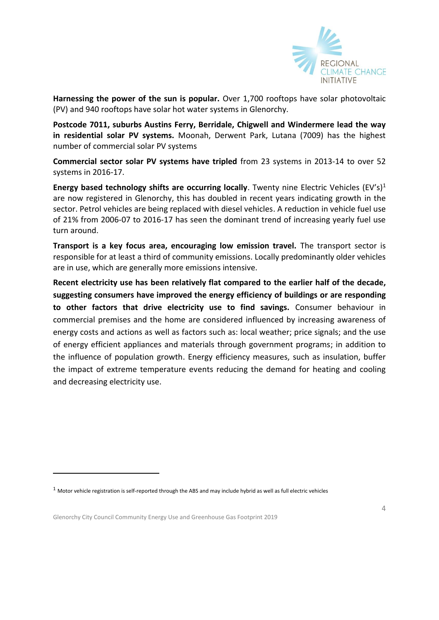

**Harnessing the power of the sun is popular.** Over 1,700 rooftops have solar photovoltaic (PV) and 940 rooftops have solar hot water systems in Glenorchy.

**Postcode 7011, suburbs Austins Ferry, Berridale, Chigwell and Windermere lead the way in residential solar PV systems.** Moonah, Derwent Park, Lutana (7009) has the highest number of commercial solar PV systems

**Commercial sector solar PV systems have tripled** from 23 systems in 2013-14 to over 52 systems in 2016-17.

**Energy based technology shifts are occurring locally**. Twenty nine Electric Vehicles  $(EV')^1$ are now registered in Glenorchy, this has doubled in recent years indicating growth in the sector. Petrol vehicles are being replaced with diesel vehicles. A reduction in vehicle fuel use of 21% from 2006-07 to 2016-17 has seen the dominant trend of increasing yearly fuel use turn around.

**Transport is a key focus area, encouraging low emission travel.** The transport sector is responsible for at least a third of community emissions. Locally predominantly older vehicles are in use, which are generally more emissions intensive.

**Recent electricity use has been relatively flat compared to the earlier half of the decade, suggesting consumers have improved the energy efficiency of buildings or are responding to other factors that drive electricity use to find savings.** Consumer behaviour in commercial premises and the home are considered influenced by increasing awareness of energy costs and actions as well as factors such as: local weather; price signals; and the use of energy efficient appliances and materials through government programs; in addition to the influence of population growth. Energy efficiency measures, such as insulation, buffer the impact of extreme temperature events reducing the demand for heating and cooling and decreasing electricity use.

Glenorchy City Council Community Energy Use and Greenhouse Gas Footprint 2019

-

 $1$  Motor vehicle registration is self-reported through the ABS and may include hybrid as well as full electric vehicles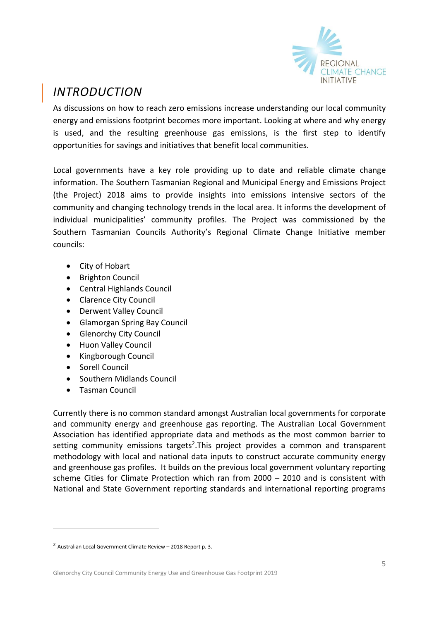

### *INTRODUCTION*

As discussions on how to reach zero emissions increase understanding our local community energy and emissions footprint becomes more important. Looking at where and why energy is used, and the resulting greenhouse gas emissions, is the first step to identify opportunities for savings and initiatives that benefit local communities.

Local governments have a key role providing up to date and reliable climate change information. The Southern Tasmanian Regional and Municipal Energy and Emissions Project (the Project) 2018 aims to provide insights into emissions intensive sectors of the community and changing technology trends in the local area. It informs the development of individual municipalities' community profiles. The Project was commissioned by the Southern Tasmanian Councils Authority's Regional Climate Change Initiative member councils:

- City of [Hobart](http://www.hobartcity.com.au/)
- [Brighton Council](http://www.brighton.tas.gov.au/)
- [Central Highlands Council](http://www.centralhighlands.tas.gov.au/site/page.cfm)
- [Clarence City Council](http://www.ccc.tas.gov.au/)
- [Derwent Valley Council](http://www.derwentvalley.tas.gov.au/)
- [Glamorgan Spring Bay Council](http://www.gsbc.tas.gov.au/site/page.cfm)
- Glenorchy [City Council](http://www.gcc.tas.gov.au/)
- [Huon Valley Council](http://www.huonvalley.tas.gov.au/)
- [Kingborough Council](http://www.kingborough.tas.gov.au/)
- [Sorell Council](http://www.sorell.tas.gov.au/)

**.** 

- [Southern Midlands Council](http://www.southernmidlands.tas.gov.au/site/page.cfm)
- [Tasman Council](http://www.tasman.tas.gov.au/site/page.cfm)

Currently there is no common standard amongst Australian local governments for corporate and community energy and greenhouse gas reporting. The Australian Local Government Association has identified appropriate data and methods as the most common barrier to setting community emissions targets<sup>2</sup>. This project provides a common and transparent methodology with local and national data inputs to construct accurate community energy and greenhouse gas profiles. It builds on the previous local government voluntary reporting scheme Cities for Climate Protection which ran from 2000 – 2010 and is consistent with National and State Government reporting standards and international reporting programs

<sup>2</sup> Australian Local Government Climate Review – 2018 Report p. 3.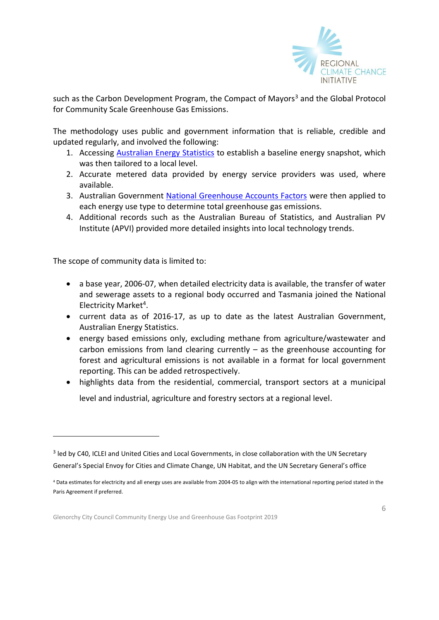

such as the Carbon Development Program, the Compact of Mayors<sup>3</sup> and the Global Protocol for Community Scale Greenhouse Gas Emissions.

The methodology uses public and government information that is reliable, credible and updated regularly, and involved the following:

- 1. Accessing [Australian Energy Statistics](https://industry.gov.au/Office-of-the-Chief-Economist/Publications/Pages/Australian-energy-statistics.aspx) to establish a baseline energy snapshot, which was then tailored to a local level.
- 2. Accurate metered data provided by energy service providers was used, where available.
- 3. Australian Government [National Greenhouse Accounts Factors](http://www.environment.gov.au/climate-change/climate-science-data/greenhouse-gas-measurement/publications/national-greenhouse-accounts-factors-july-2017) were then applied to each energy use type to determine total greenhouse gas emissions.
- 4. Additional records such as the Australian Bureau of Statistics, and Australian PV Institute (APVI) provided more detailed insights into local technology trends.

The scope of community data is limited to:

**.** 

- a base year, 2006-07, when detailed electricity data is available, the transfer of water and sewerage assets to a regional body occurred and Tasmania joined the National Electricity Market<sup>4</sup>.
- current data as of 2016-17, as up to date as the latest Australian Government, Australian Energy Statistics.
- energy based emissions only, excluding methane from agriculture/wastewater and carbon emissions from land clearing currently  $-$  as the greenhouse accounting for forest and agricultural emissions is not available in a format for local government reporting. This can be added retrospectively.
- highlights data from the residential, commercial, transport sectors at a municipal level and industrial, agriculture and forestry sectors at a regional level.

<sup>&</sup>lt;sup>3</sup> led by C40, ICLEI and United Cities and Local Governments, in close collaboration with the UN Secretary General's Special Envoy for Cities and Climate Change, UN Habitat, and the UN Secretary General's office

<sup>4</sup> Data estimates for electricity and all energy uses are available from 2004-05 to align with the international reporting period stated in the Paris Agreement if preferred.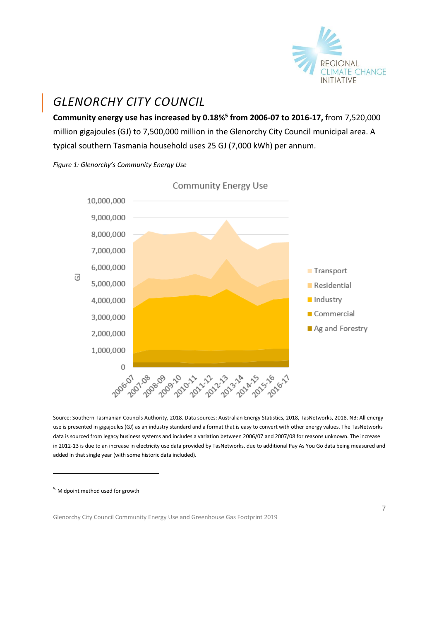

### *GLENORCHY CITY COUNCIL*

**Community energy use has increased by 0.18%<sup>5</sup> from 2006-07 to 2016-17,** from 7,520,000 million gigajoules (GJ) to 7,500,000 million in the Glenorchy City Council municipal area. A typical southern Tasmania household uses 25 GJ (7,000 kWh) per annum.

![](_page_6_Figure_3.jpeg)

![](_page_6_Figure_4.jpeg)

Source: Southern Tasmanian Councils Authority, 2018. Data sources: Australian Energy Statistics, 2018, TasNetworks, 2018. NB: All energy use is presented in gigajoules (GJ) as an industry standard and a format that is easy to convert with other energy values. The TasNetworks data is sourced from legacy business systems and includes a variation between 2006/07 and 2007/08 for reasons unknown. The increase in 2012-13 is due to an increase in electricity use data provided by TasNetworks, due to additional Pay As You Go data being measured and added in that single year (with some historic data included).

<sup>5</sup> Midpoint method used for growth

-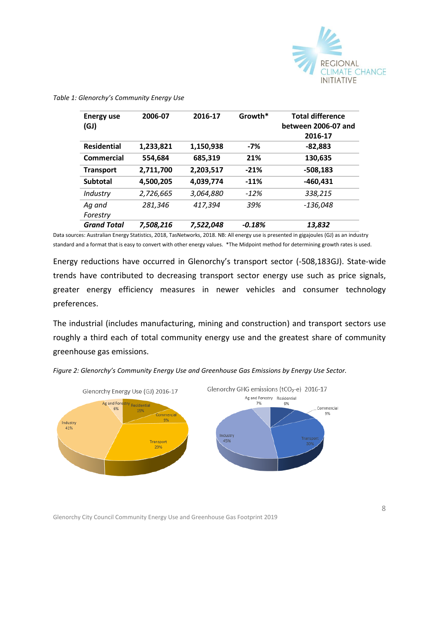![](_page_7_Picture_0.jpeg)

| <b>Energy use</b>  | 2006-07   | 2016-17   | Growth*  | <b>Total difference</b> |
|--------------------|-----------|-----------|----------|-------------------------|
| (GJ)               |           |           |          | between 2006-07 and     |
|                    |           |           |          | 2016-17                 |
| <b>Residential</b> | 1,233,821 | 1,150,938 | $-7%$    | $-82,883$               |
| Commercial         | 554,684   | 685,319   | 21%      | 130,635                 |
| <b>Transport</b>   | 2,711,700 | 2,203,517 | $-21%$   | $-508,183$              |
| <b>Subtotal</b>    | 4,500,205 | 4,039,774 | $-11%$   | $-460,431$              |
| Industry           | 2,726,665 | 3,064,880 | $-12%$   | 338,215                 |
| Ag and             | 281,346   | 417,394   | 39%      | -136,048                |
| Forestry           |           |           |          |                         |
| <b>Grand Total</b> | 7,508,216 | 7.522.048 | $-0.18%$ | 13,832                  |

#### *Table 1: Glenorchy's Community Energy Use*

Data sources: Australian Energy Statistics, 2018, TasNetworks, 2018. NB: All energy use is presented in gigajoules (GJ) as an industry standard and a format that is easy to convert with other energy values. \*The Midpoint method for determining growth rates is used.

Energy reductions have occurred in Glenorchy's transport sector (-508,183GJ). State-wide trends have contributed to decreasing transport sector energy use such as price signals, greater energy efficiency measures in newer vehicles and consumer technology preferences.

The industrial (includes manufacturing, mining and construction) and transport sectors use roughly a third each of total community energy use and the greatest share of community greenhouse gas emissions.

![](_page_7_Figure_6.jpeg)

*Figure 2: Glenorchy's Community Energy Use and Greenhouse Gas Emissions by Energy Use Sector.*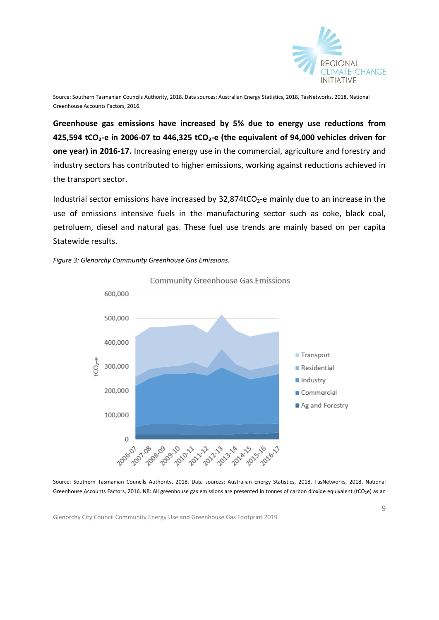![](_page_8_Picture_0.jpeg)

Source: Southern Tasmanian Councils Authority, 2018. Data sources: Australian Energy Statistics, 2018, TasNetworks, 2018, National Greenhouse Accounts Factors, 2016.

**Greenhouse gas emissions have increased by 5% due to energy use reductions from 425,594 tCO₂-e in 2006-07 to 446,325 tCO₂-e (the equivalent of 94,000 vehicles driven for one year) in 2016-17.** Increasing energy use in the commercial, agriculture and forestry and industry sectors has contributed to higher emissions, working against reductions achieved in the transport sector.

Industrial sector emissions have increased by  $32,874$ tCO<sub>2</sub>-e mainly due to an increase in the use of emissions intensive fuels in the manufacturing sector such as coke, black coal, petroluem, diesel and natural gas. These fuel use trends are mainly based on per capita Statewide results.

![](_page_8_Figure_4.jpeg)

![](_page_8_Figure_5.jpeg)

Source: Southern Tasmanian Councils Authority, 2018. Data sources: Australian Energy Statistics, 2018, TasNetworks, 2018, National Greenhouse Accounts Factors, 2016. NB: All greenhouse gas emissions are presented in tonnes of carbon dioxide equivalent (tCO<sub>2</sub>e) as an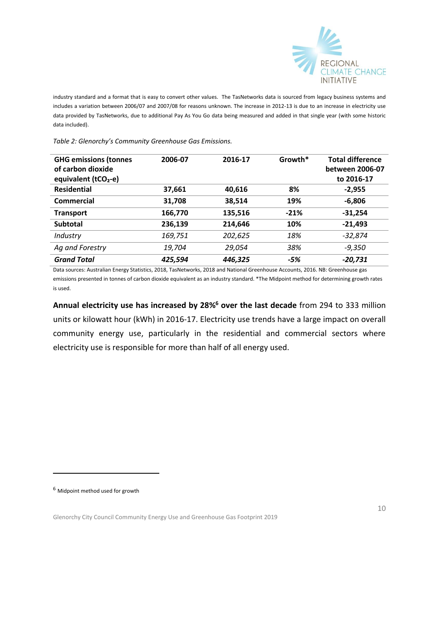![](_page_9_Picture_0.jpeg)

industry standard and a format that is easy to convert other values.The TasNetworks data is sourced from legacy business systems and includes a variation between 2006/07 and 2007/08 for reasons unknown. The increase in 2012-13 is due to an increase in electricity use data provided by TasNetworks, due to additional Pay As You Go data being measured and added in that single year (with some historic data included).

*Table 2: Glenorchy's Community Greenhouse Gas Emissions.*

| <b>GHG emissions (tonnes</b>     | 2006-07 | 2016-17 | Growth* | <b>Total difference</b> |
|----------------------------------|---------|---------|---------|-------------------------|
| of carbon dioxide                |         |         |         | between 2006-07         |
| equivalent (tCO <sub>2</sub> -e) |         |         |         | to 2016-17              |
| <b>Residential</b>               | 37,661  | 40,616  | 8%      | $-2,955$                |
| Commercial                       | 31,708  | 38,514  | 19%     | $-6,806$                |
| <b>Transport</b>                 | 166,770 | 135,516 | $-21%$  | $-31,254$               |
| <b>Subtotal</b>                  | 236,139 | 214,646 | 10%     | $-21,493$               |
| Industry                         | 169,751 | 202,625 | 18%     | -32,874                 |
| Ag and Forestry                  | 19.704  | 29,054  | 38%     | -9.350                  |
| <b>Grand Total</b>               | 425,594 | 446,325 | -5%     | -20,731                 |

Data sources: Australian Energy Statistics, 2018, TasNetworks, 2018 and National Greenhouse Accounts, 2016. NB: Greenhouse gas emissions presented in tonnes of carbon dioxide equivalent as an industry standard. \*The Midpoint method for determining growth rates is used.

**Annual electricity use has increased by 28%<sup>6</sup> over the last decade** from 294 to 333 million units or kilowatt hour (kWh) in 2016-17. Electricity use trends have a large impact on overall community energy use, particularly in the residential and commercial sectors where electricity use is responsible for more than half of all energy used.

<sup>6</sup> Midpoint method used for growth

-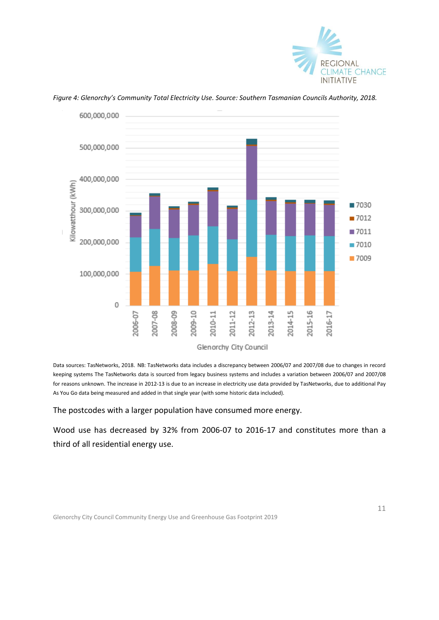![](_page_10_Picture_0.jpeg)

![](_page_10_Figure_1.jpeg)

*Figure 4: Glenorchy's Community Total Electricity Use. Source: Southern Tasmanian Councils Authority, 2018.* 

Data sources: TasNetworks, 2018. NB: TasNetworks data includes a discrepancy between 2006/07 and 2007/08 due to changes in record keeping systems The TasNetworks data is sourced from legacy business systems and includes a variation between 2006/07 and 2007/08 for reasons unknown. The increase in 2012-13 is due to an increase in electricity use data provided by TasNetworks, due to additional Pay As You Go data being measured and added in that single year (with some historic data included).

The postcodes with a larger population have consumed more energy.

Wood use has decreased by 32% from 2006-07 to 2016-17 and constitutes more than a third of all residential energy use.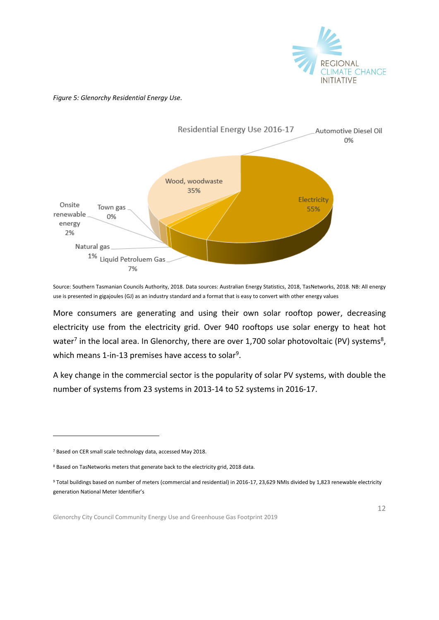![](_page_11_Picture_0.jpeg)

### *Figure 5: Glenorchy Residential Energy Use.*

![](_page_11_Figure_2.jpeg)

Source: Southern Tasmanian Councils Authority, 2018. Data sources: Australian Energy Statistics, 2018, TasNetworks, 2018. NB: All energy use is presented in gigajoules (GJ) as an industry standard and a format that is easy to convert with other energy values

More consumers are generating and using their own solar rooftop power, decreasing electricity use from the electricity grid. Over 940 rooftops use solar energy to heat hot water<sup>7</sup> in the local area. In Glenorchy, there are over 1,700 solar photovoltaic (PV) systems<sup>8</sup>, which means 1-in-13 premises have access to solar<sup>9</sup>.

A key change in the commercial sector is the popularity of solar PV systems, with double the number of systems from 23 systems in 2013-14 to 52 systems in 2016-17.

-

<sup>7</sup> Based on CER small scale technology data, accessed May 2018.

<sup>8</sup> Based on TasNetworks meters that generate back to the electricity grid, 2018 data.

<sup>9</sup> Total buildings based on number of meters (commercial and residential) in 2016-17, 23,629 NMIs divided by 1,823 renewable electricity generation National Meter Identifier's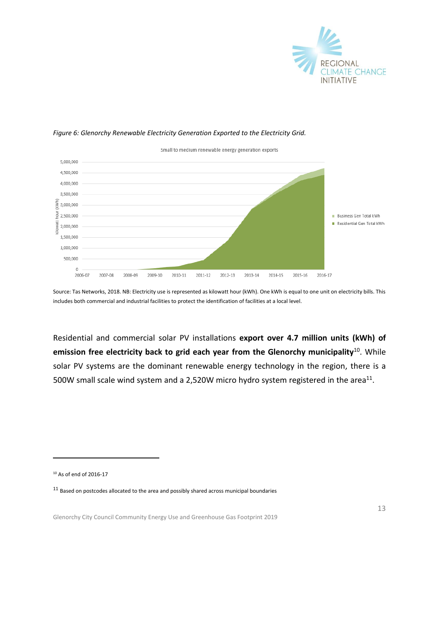![](_page_12_Picture_0.jpeg)

### *Figure 6: Glenorchy Renewable Electricity Generation Exported to the Electricity Grid.*

![](_page_12_Figure_2.jpeg)

Source: Tas Networks, 2018. NB: Electricity use is represented as kilowatt hour (kWh). One kWh is equal to one unit on electricity bills. This includes both commercial and industrial facilities to protect the identification of facilities at a local level.

Residential and commercial solar PV installations **export over 4.7 million units (kWh) of emission free electricity back to grid each year from the Glenorchy municipality**<sup>10</sup> . While solar PV systems are the dominant renewable energy technology in the region, there is a 500W small scale wind system and a 2,520W micro hydro system registered in the area<sup>11</sup>.

<sup>10</sup> As of end of 2016-17

-

 $^{11}$  Based on postcodes allocated to the area and possibly shared across municipal boundaries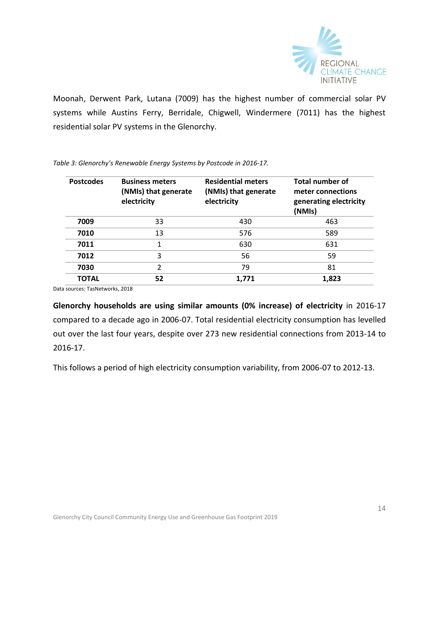![](_page_13_Picture_0.jpeg)

Moonah, Derwent Park, Lutana (7009) has the highest number of commercial solar PV systems while Austins Ferry, Berridale, Chigwell, Windermere (7011) has the highest residential solar PV systems in the Glenorchy.

*Table 3: Glenorchy's Renewable Energy Systems by Postcode in 2016-17.*

| <b>Postcodes</b> | <b>Business meters</b><br>(NMIs) that generate<br>electricity | <b>Residential meters</b><br>(NMIs) that generate<br>electricity | <b>Total number of</b><br>meter connections<br>generating electricity<br>(NMIs) |
|------------------|---------------------------------------------------------------|------------------------------------------------------------------|---------------------------------------------------------------------------------|
| 7009             | 33                                                            | 430                                                              | 463                                                                             |
| 7010             | 13                                                            | 576                                                              | 589                                                                             |
| 7011             | 1                                                             | 630                                                              | 631                                                                             |
| 7012             | 3                                                             | 56                                                               | 59                                                                              |
| 7030             | $\overline{2}$                                                | 79                                                               | 81                                                                              |
| <b>TOTAL</b>     | 52                                                            | 1.771                                                            | 1,823                                                                           |

Data sources: TasNetworks, 2018

**Glenorchy households are using similar amounts (0% increase) of electricity** in 2016-17 compared to a decade ago in 2006-07. Total residential electricity consumption has levelled out over the last four years, despite over 273 new residential connections from 2013-14 to 2016-17.

This follows a period of high electricity consumption variability, from 2006-07 to 2012-13.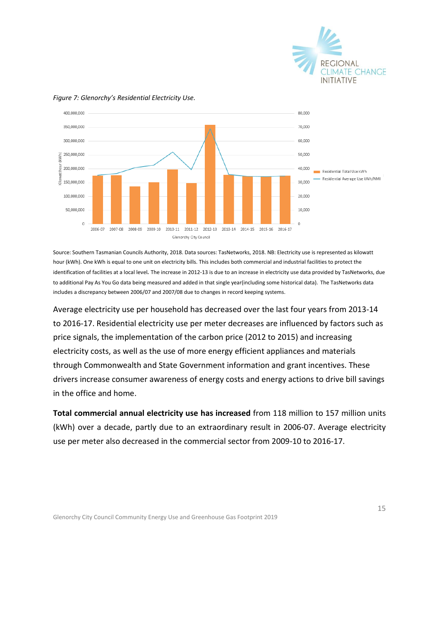![](_page_14_Picture_0.jpeg)

![](_page_14_Figure_1.jpeg)

### *Figure 7: Glenorchy's Residential Electricity Use.*

Source: Southern Tasmanian Councils Authority, 2018. Data sources: TasNetworks, 2018. NB: Electricity use is represented as kilowatt hour (kWh). One kWh is equal to one unit on electricity bills. This includes both commercial and industrial facilities to protect the identification of facilities at a local level*.* The increase in 2012-13 is due to an increase in electricity use data provided by TasNetworks, due to additional Pay As You Go data being measured and added in that single year(including some historical data). The TasNetworks data includes a discrepancy between 2006/07 and 2007/08 due to changes in record keeping systems.

Average electricity use per household has decreased over the last four years from 2013-14 to 2016-17. Residential electricity use per meter decreases are influenced by factors such as price signals, the implementation of the carbon price (2012 to 2015) and increasing electricity costs, as well as the use of more energy efficient appliances and materials through Commonwealth and State Government information and grant incentives. These drivers increase consumer awareness of energy costs and energy actions to drive bill savings in the office and home.

**Total commercial annual electricity use has increased** from 118 million to 157 million units (kWh) over a decade, partly due to an extraordinary result in 2006-07. Average electricity use per meter also decreased in the commercial sector from 2009-10 to 2016-17.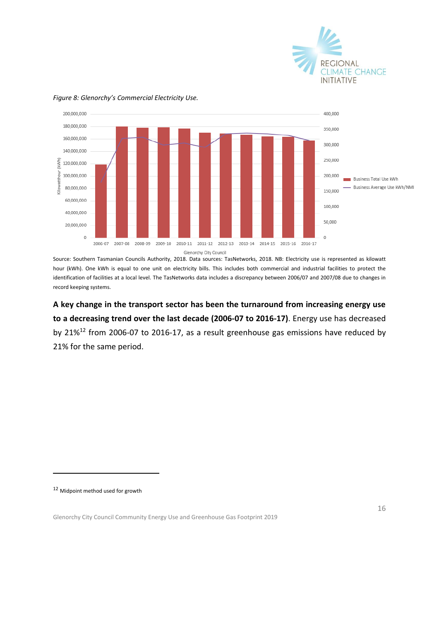![](_page_15_Picture_0.jpeg)

![](_page_15_Figure_1.jpeg)

#### *Figure 8: Glenorchy's Commercial Electricity Use.*

Source: Southern Tasmanian Councils Authority, 2018. Data sources: TasNetworks, 2018. NB: Electricity use is represented as kilowatt hour (kWh). One kWh is equal to one unit on electricity bills. This includes both commercial and industrial facilities to protect the identification of facilities at a local level. The TasNetworks data includes a discrepancy between 2006/07 and 2007/08 due to changes in record keeping systems.

**A key change in the transport sector has been the turnaround from increasing energy use to a decreasing trend over the last decade (2006-07 to 2016-17)**. Energy use has decreased by 21%<sup>12</sup> from 2006-07 to 2016-17, as a result greenhouse gas emissions have reduced by 21% for the same period.

<sup>12</sup> Midpoint method used for growth

-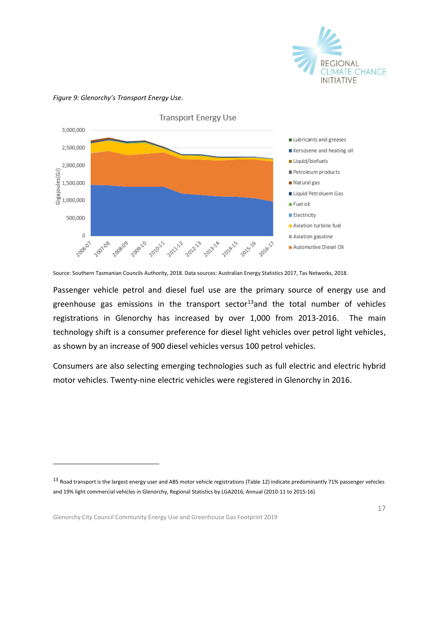![](_page_16_Picture_0.jpeg)

#### **Transport Energy Use** 3,000,000 Lubricants and greases 2,500,000 Kersosene and heating oil Liquid/biofuels 2,000,000  $\begin{array}{c}\n\begin{array}{c}\n\sqrt{3} & 2,000,000 \\
\hline\n\frac{10}{3} & 1,500,000 \\
\hline\n\frac{1}{3} & 1,500,000 \\
\hline\n\frac{1}{3} & 1,000,000\n\end{array}\n\end{array}$ Petroleum products Natural gas Liquid Petroluem Gas Fuel oil **Electricity** 500,000 Aviation turbine fuel  $\circ$ Aviation gasoline 2015-16 2007/08 2008-09 2006-07 2009:10 2016-17 201021 201212 201213 201314 201415 Automotive Diesel Oil

#### *Figure 9: Glenorchy's Transport Energy Use.*

Source: Southern Tasmanian Councils Authority, 2018. Data sources: Australian Energy Statistics 2017, Tas Networks, 2018.

Passenger vehicle petrol and diesel fuel use are the primary source of energy use and greenhouse gas emissions in the transport sector<sup>13</sup>and the total number of vehicles registrations in Glenorchy has increased by over 1,000 from 2013-2016. The main technology shift is a consumer preference for diesel light vehicles over petrol light vehicles, as shown by an increase of 900 diesel vehicles versus 100 petrol vehicles.

Consumers are also selecting emerging technologies such as full electric and electric hybrid motor vehicles. Twenty-nine electric vehicles were registered in Glenorchy in 2016.

Glenorchy City Council Community Energy Use and Greenhouse Gas Footprint 2019

-

 $13$  Road transport is the largest energy user and ABS motor vehicle registrations (Table 12) indicate predominantly 71% passenger vehicles and 19% light commercial vehicles in Glenorchy, Regional Statistics by LGA2016, Annual (2010-11 to 2015-16)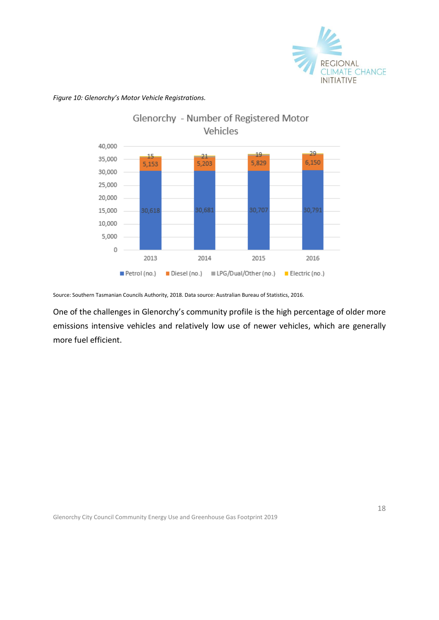![](_page_17_Picture_0.jpeg)

Glenorchy - Number of Registered Motor Vehicles 40,000  $29$  $19$ 15  $21$ 35,000 6,150 5,829 5,153 5.203 30,000 25,000 20,000 30,618 30,681 30,707 30,791 15,000 10,000 5,000 0 2013 2014 2015 2016 Petrol (no.) Diesel (no.) III LPG/Dual/Other (no.) Electric (no.)

*Figure 10: Glenorchy's Motor Vehicle Registrations.*

Source: Southern Tasmanian Councils Authority, 2018. Data source: Australian Bureau of Statistics, 2016.

One of the challenges in Glenorchy's community profile is the high percentage of older more emissions intensive vehicles and relatively low use of newer vehicles, which are generally more fuel efficient.